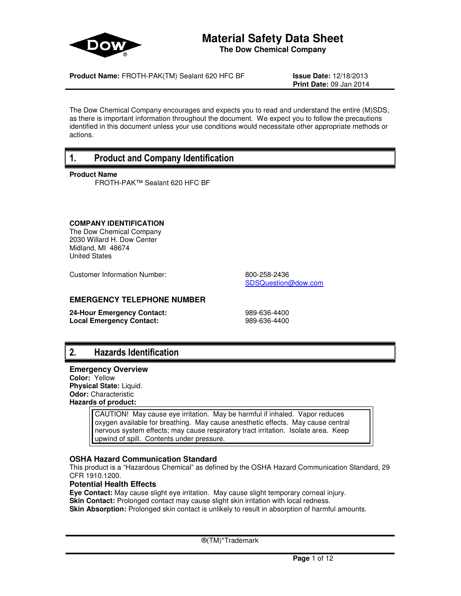

# **Material Safety Data Sheet The Dow Chemical Company**

**Product Name:** FROTH-PAK(TM) Sealant 620 HFC BF **Issue Date:** 12/18/2013

**Print Date:** 09 Jan 2014

The Dow Chemical Company encourages and expects you to read and understand the entire (M)SDS, as there is important information throughout the document. We expect you to follow the precautions identified in this document unless your use conditions would necessitate other appropriate methods or actions.

# **1. Product and Company Identification**

### **Product Name**

FROTH-PAK™ Sealant 620 HFC BF

# **COMPANY IDENTIFICATION**

The Dow Chemical Company 2030 Willard H. Dow Center Midland, MI 48674 United States

Customer Information Number: 800-258-2436

SDSQuestion@dow.com

# **EMERGENCY TELEPHONE NUMBER**

**24-Hour Emergency Contact:** 989-636-4400 **Local Emergency Contact:** 

# **2. Hazards Identification**

**Emergency Overview Color:** Yellow **Physical State:** Liquid. **Odor:** Characteristic **Hazards of product:**

> CAUTION! May cause eye irritation. May be harmful if inhaled. Vapor reduces oxygen available for breathing. May cause anesthetic effects. May cause central nervous system effects; may cause respiratory tract irritation. Isolate area. Keep upwind of spill. Contents under pressure.

# **OSHA Hazard Communication Standard**

This product is a "Hazardous Chemical" as defined by the OSHA Hazard Communication Standard, 29 CFR 1910.1200.

# **Potential Health Effects**

**Eye Contact:** May cause slight eye irritation. May cause slight temporary corneal injury. **Skin Contact:** Prolonged contact may cause slight skin irritation with local redness. **Skin Absorption:** Prolonged skin contact is unlikely to result in absorption of harmful amounts.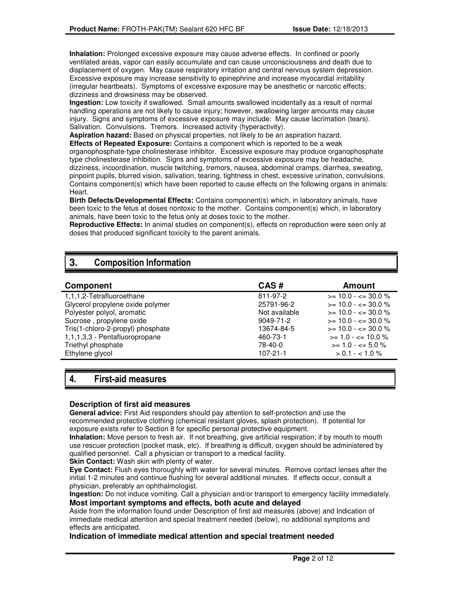**Inhalation:** Prolonged excessive exposure may cause adverse effects. In confined or poorly ventilated areas, vapor can easily accumulate and can cause unconsciousness and death due to displacement of oxygen. May cause respiratory irritation and central nervous system depression. Excessive exposure may increase sensitivity to epinephrine and increase myocardial irritability (irregular heartbeats). Symptoms of excessive exposure may be anesthetic or narcotic effects; dizziness and drowsiness may be observed.

**Ingestion:** Low toxicity if swallowed. Small amounts swallowed incidentally as a result of normal handling operations are not likely to cause injury; however, swallowing larger amounts may cause injury. Signs and symptoms of excessive exposure may include: May cause lacrimation (tears). Salivation. Convulsions. Tremors. Increased activity (hyperactivity).

**Aspiration hazard:** Based on physical properties, not likely to be an aspiration hazard. **Effects of Repeated Exposure:** Contains a component which is reported to be a weak organophosphate-type cholinesterase inhibitor. Excessive exposure may produce organophosphate type cholinesterase inhibition. Signs and symptoms of excessive exposure may be headache, dizziness, incoordination, muscle twitching, tremors, nausea, abdominal cramps, diarrhea, sweating, pinpoint pupils, blurred vision, salivation, tearing, tightness in chest, excessive urination, convulsions. Contains component(s) which have been reported to cause effects on the following organs in animals: Heart.

**Birth Defects/Developmental Effects:** Contains component(s) which, in laboratory animals, have been toxic to the fetus at doses nontoxic to the mother. Contains component(s) which, in laboratory animals, have been toxic to the fetus only at doses toxic to the mother.

**Reproductive Effects:** In animal studies on component(s), effects on reproduction were seen only at doses that produced significant toxicity to the parent animals.

# **3. Composition Information**

| Component                         | CAS#           | Amount                  |
|-----------------------------------|----------------|-------------------------|
| 1,1,1,2-Tetrafluoroethane         | 811-97-2       | $>= 10.0 - \le 30.0 \%$ |
| Glycerol propylene oxide polymer  | 25791-96-2     | $>= 10.0 - \le 30.0 \%$ |
| Polyester polyol, aromatic        | Not available  | $>= 10.0 - \le 30.0 \%$ |
| Sucrose, propylene oxide          | 9049-71-2      | $>= 10.0 - \le 30.0 \%$ |
| Tris(1-chloro-2-propyl) phosphate | 13674-84-5     | $>= 10.0 - \le 30.0 \%$ |
| 1,1,1,3,3 - Pentafluoropropane    | 460-73-1       | $>= 1.0 - \le 10.0 \%$  |
| Triethyl phosphate                | 78-40-0        | $>= 1.0 - \le 5.0 \%$   |
| Ethylene glycol                   | $107 - 21 - 1$ | $> 0.1 - 1.0\%$         |

# **4. First-aid measures**

# **Description of first aid measures**

**General advice:** First Aid responders should pay attention to self-protection and use the recommended protective clothing (chemical resistant gloves, splash protection). If potential for exposure exists refer to Section 8 for specific personal protective equipment.

**Inhalation:** Move person to fresh air. If not breathing, give artificial respiration; if by mouth to mouth use rescuer protection (pocket mask, etc). If breathing is difficult, oxygen should be administered by qualified personnel. Call a physician or transport to a medical facility.

**Skin Contact:** Wash skin with plenty of water.

**Eye Contact:** Flush eyes thoroughly with water for several minutes. Remove contact lenses after the initial 1-2 minutes and continue flushing for several additional minutes. If effects occur, consult a physician, preferably an ophthalmologist.

**Ingestion:** Do not induce vomiting. Call a physician and/or transport to emergency facility immediately. **Most important symptoms and effects, both acute and delayed**

Aside from the information found under Description of first aid measures (above) and Indication of immediate medical attention and special treatment needed (below), no additional symptoms and effects are anticipated.

# **Indication of immediate medical attention and special treatment needed**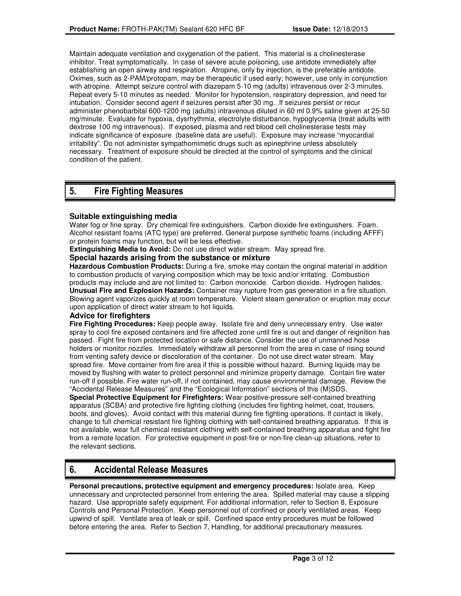Maintain adequate ventilation and oxygenation of the patient. This material is a cholinesterase inhibitor. Treat symptomatically. In case of severe acute poisoning, use antidote immediately after establishing an open airway and respiration. Atropine, only by injection, is the preferable antidote. Oximes, such as 2-PAM/protopam, may be therapeutic if used early; however, use only in conjunction with atropine. Attempt seizure control with diazepam 5-10 mg (adults) intravenous over 2-3 minutes. Repeat every 5-10 minutes as needed. Monitor for hypotension, respiratory depression, and need for intubation. Consider second agent if seizures persist after 30 mg. If seizures persist or recur administer phenobarbital 600-1200 mg (adults) intravenous diluted in 60 ml 0.9% saline given at 25-50 mg/minute. Evaluate for hypoxia, dysrhythmia, electrolyte disturbance, hypoglycemia (treat adults with dextrose 100 mg intravenous). If exposed, plasma and red blood cell cholinesterase tests may indicate significance of exposure (baseline data are useful). Exposure may increase "myocardial irritability". Do not administer sympathomimetic drugs such as epinephrine unless absolutely necessary. Treatment of exposure should be directed at the control of symptoms and the clinical condition of the patient.

# **5. Fire Fighting Measures**

# **Suitable extinguishing media**

Water fog or fine spray. Dry chemical fire extinguishers. Carbon dioxide fire extinguishers. Foam. Alcohol resistant foams (ATC type) are preferred. General purpose synthetic foams (including AFFF) or protein foams may function, but will be less effective.

**Extinguishing Media to Avoid:** Do not use direct water stream. May spread fire.

# **Special hazards arising from the substance or mixture**

**Hazardous Combustion Products:** During a fire, smoke may contain the original material in addition to combustion products of varying composition which may be toxic and/or irritating. Combustion products may include and are not limited to: Carbon monoxide. Carbon dioxide. Hydrogen halides. **Unusual Fire and Explosion Hazards:** Container may rupture from gas generation in a fire situation. Blowing agent vaporizes quickly at room temperature. Violent steam generation or eruption may occur upon application of direct water stream to hot liquids.

# **Advice for firefighters**

**Fire Fighting Procedures:** Keep people away. Isolate fire and deny unnecessary entry. Use water spray to cool fire exposed containers and fire affected zone until fire is out and danger of reignition has passed. Fight fire from protected location or safe distance. Consider the use of unmanned hose holders or monitor nozzles. Immediately withdraw all personnel from the area in case of rising sound from venting safety device or discoloration of the container. Do not use direct water stream. May spread fire. Move container from fire area if this is possible without hazard. Burning liquids may be moved by flushing with water to protect personnel and minimize property damage. Contain fire water run-off if possible. Fire water run-off, if not contained, may cause environmental damage. Review the "Accidental Release Measures" and the "Ecological Information" sections of this (M)SDS. **Special Protective Equipment for Firefighters:** Wear positive-pressure self-contained breathing apparatus (SCBA) and protective fire fighting clothing (includes fire fighting helmet, coat, trousers, boots, and gloves). Avoid contact with this material during fire fighting operations. If contact is likely, change to full chemical resistant fire fighting clothing with self-contained breathing apparatus. If this is not available, wear full chemical resistant clothing with self-contained breathing apparatus and fight fire from a remote location. For protective equipment in post-fire or non-fire clean-up situations, refer to the relevant sections.

# **6. Accidental Release Measures**

**Personal precautions, protective equipment and emergency procedures:** Isolate area. Keep unnecessary and unprotected personnel from entering the area. Spilled material may cause a slipping hazard. Use appropriate safety equipment. For additional information, refer to Section 8, Exposure Controls and Personal Protection. Keep personnel out of confined or poorly ventilated areas. Keep upwind of spill. Ventilate area of leak or spill. Confined space entry procedures must be followed before entering the area. Refer to Section 7, Handling, for additional precautionary measures.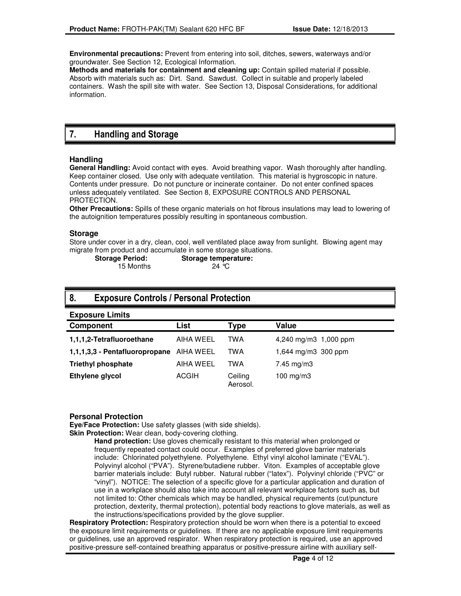**Environmental precautions:** Prevent from entering into soil, ditches, sewers, waterways and/or groundwater. See Section 12, Ecological Information.

**Methods and materials for containment and cleaning up:** Contain spilled material if possible. Absorb with materials such as: Dirt. Sand. Sawdust. Collect in suitable and properly labeled containers. Wash the spill site with water. See Section 13, Disposal Considerations, for additional information.

# **7. Handling and Storage**

#### **Handling**

**General Handling:** Avoid contact with eyes. Avoid breathing vapor. Wash thoroughly after handling. Keep container closed. Use only with adequate ventilation. This material is hygroscopic in nature. Contents under pressure. Do not puncture or incinerate container. Do not enter confined spaces unless adequately ventilated. See Section 8, EXPOSURE CONTROLS AND PERSONAL PROTECTION.

**Other Precautions:** Spills of these organic materials on hot fibrous insulations may lead to lowering of the autoignition temperatures possibly resulting in spontaneous combustion.

### **Storage**

Store under cover in a dry, clean, cool, well ventilated place away from sunlight. Blowing agent may migrate from product and accumulate in some storage situations.

| <b>Storage Period:</b> | Storage temperature: |
|------------------------|----------------------|
| 15 Months              | 24 °C                |

# **8. Exposure Controls / Personal Protection**

| <b>Exposure Limits</b>         |                  |                     |                         |
|--------------------------------|------------------|---------------------|-------------------------|
| <b>Component</b>               | List             | Type                | Value                   |
| 1,1,1,2-Tetrafluoroethane      | <b>AIHA WEEL</b> | TWA                 | 4,240 mg/m3 1,000 ppm   |
| 1,1,1,3,3 - Pentafluoropropane | AIHA WEEL        | TWA                 | 1,644 mg/m3 300 ppm     |
| <b>Triethyl phosphate</b>      | <b>AIHA WEEL</b> | TWA                 | $7.45 \,\mathrm{mg/m3}$ |
| Ethylene glycol                | ACGIH            | Ceiling<br>Aerosol. | 100 mg/m $3$            |

#### **Personal Protection**

**Eye/Face Protection:** Use safety glasses (with side shields).

**Skin Protection:** Wear clean, body-covering clothing.

**Hand protection:** Use gloves chemically resistant to this material when prolonged or frequently repeated contact could occur. Examples of preferred glove barrier materials include: Chlorinated polyethylene. Polyethylene. Ethyl vinyl alcohol laminate ("EVAL"). Polyvinyl alcohol ("PVA"). Styrene/butadiene rubber. Viton. Examples of acceptable glove barrier materials include: Butyl rubber. Natural rubber ("latex"). Polyvinyl chloride ("PVC" or "vinyl"). NOTICE: The selection of a specific glove for a particular application and duration of use in a workplace should also take into account all relevant workplace factors such as, but not limited to: Other chemicals which may be handled, physical requirements (cut/puncture protection, dexterity, thermal protection), potential body reactions to glove materials, as well as the instructions/specifications provided by the glove supplier.

**Respiratory Protection:** Respiratory protection should be worn when there is a potential to exceed the exposure limit requirements or guidelines. If there are no applicable exposure limit requirements or guidelines, use an approved respirator. When respiratory protection is required, use an approved positive-pressure self-contained breathing apparatus or positive-pressure airline with auxiliary self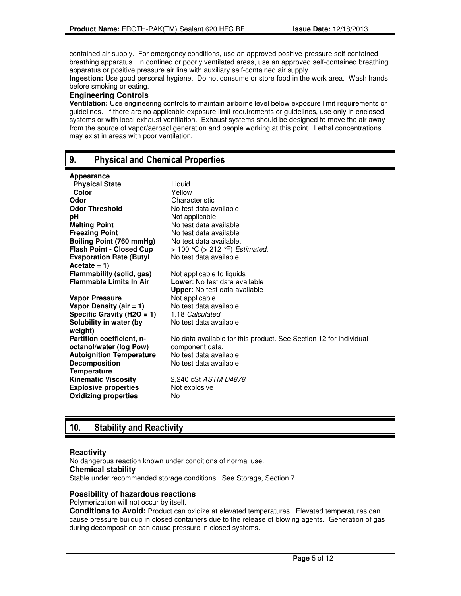contained air supply. For emergency conditions, use an approved positive-pressure self-contained breathing apparatus. In confined or poorly ventilated areas, use an approved self-contained breathing apparatus or positive pressure air line with auxiliary self-contained air supply.

**Ingestion:** Use good personal hygiene. Do not consume or store food in the work area. Wash hands before smoking or eating.

# **Engineering Controls**

**Ventilation:** Use engineering controls to maintain airborne level below exposure limit requirements or guidelines. If there are no applicable exposure limit requirements or guidelines, use only in enclosed systems or with local exhaust ventilation. Exhaust systems should be designed to move the air away from the source of vapor/aerosol generation and people working at this point. Lethal concentrations may exist in areas with poor ventilation.

# **9. Physical and Chemical Properties**

| Appearance                      |                                                                   |
|---------------------------------|-------------------------------------------------------------------|
| <b>Physical State</b>           | Liquid.                                                           |
| Color                           | Yellow                                                            |
| Odor                            | Characteristic                                                    |
| <b>Odor Threshold</b>           | No test data available                                            |
| pH                              | Not applicable                                                    |
| <b>Melting Point</b>            | No test data available                                            |
| <b>Freezing Point</b>           | No test data available                                            |
| Boiling Point (760 mmHg)        | No test data available.                                           |
| <b>Flash Point - Closed Cup</b> | > 100 °C (> 212 °F) Estimated.                                    |
| <b>Evaporation Rate (Butyl</b>  | No test data available                                            |
| Acetate = $1$ )                 |                                                                   |
| Flammability (solid, gas)       | Not applicable to liquids                                         |
| <b>Flammable Limits In Air</b>  | Lower: No test data available                                     |
|                                 | <b>Upper:</b> No test data available                              |
| <b>Vapor Pressure</b>           | Not applicable                                                    |
| Vapor Density (air $= 1$ )      | No test data available                                            |
| Specific Gravity ( $H2O = 1$ )  | 1.18 Calculated                                                   |
| Solubility in water (by         | No test data available                                            |
| weight)                         |                                                                   |
| Partition coefficient, n-       | No data available for this product. See Section 12 for individual |
| octanol/water (log Pow)         | component data.                                                   |
| <b>Autoignition Temperature</b> | No test data available                                            |
| <b>Decomposition</b>            | No test data available                                            |
| <b>Temperature</b>              |                                                                   |
| <b>Kinematic Viscosity</b>      | 2,240 cSt ASTM D4878                                              |
| <b>Explosive properties</b>     | Not explosive                                                     |
| <b>Oxidizing properties</b>     | No                                                                |
|                                 |                                                                   |

# **10. Stability and Reactivity**

# **Reactivity**

No dangerous reaction known under conditions of normal use. **Chemical stability** Stable under recommended storage conditions. See Storage, Section 7.

# **Possibility of hazardous reactions**

Polymerization will not occur by itself.

**Conditions to Avoid:** Product can oxidize at elevated temperatures. Elevated temperatures can cause pressure buildup in closed containers due to the release of blowing agents. Generation of gas during decomposition can cause pressure in closed systems.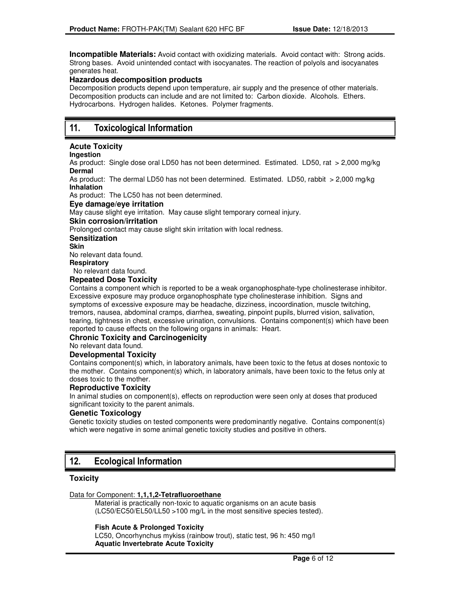**Incompatible Materials:** Avoid contact with oxidizing materials. Avoid contact with: Strong acids. Strong bases. Avoid unintended contact with isocyanates. The reaction of polyols and isocyanates generates heat.

## **Hazardous decomposition products**

Decomposition products depend upon temperature, air supply and the presence of other materials. Decomposition products can include and are not limited to: Carbon dioxide. Alcohols. Ethers. Hydrocarbons. Hydrogen halides. Ketones. Polymer fragments.

# **11. Toxicological Information**

## **Acute Toxicity**

### **Ingestion**

As product: Single dose oral LD50 has not been determined. Estimated. LD50, rat > 2,000 mg/kg **Dermal** 

As product: The dermal LD50 has not been determined. Estimated. LD50, rabbit > 2,000 mg/kg **Inhalation** 

As product: The LC50 has not been determined.

## **Eye damage/eye irritation**

May cause slight eye irritation. May cause slight temporary corneal injury.

## **Skin corrosion/irritation**

Prolonged contact may cause slight skin irritation with local redness.

### **Sensitization**

**Skin** 

No relevant data found.

**Respiratory**

No relevant data found.

### **Repeated Dose Toxicity**

Contains a component which is reported to be a weak organophosphate-type cholinesterase inhibitor. Excessive exposure may produce organophosphate type cholinesterase inhibition. Signs and symptoms of excessive exposure may be headache, dizziness, incoordination, muscle twitching, tremors, nausea, abdominal cramps, diarrhea, sweating, pinpoint pupils, blurred vision, salivation, tearing, tightness in chest, excessive urination, convulsions. Contains component(s) which have been reported to cause effects on the following organs in animals: Heart.

# **Chronic Toxicity and Carcinogenicity**

No relevant data found.

# **Developmental Toxicity**

Contains component(s) which, in laboratory animals, have been toxic to the fetus at doses nontoxic to the mother. Contains component(s) which, in laboratory animals, have been toxic to the fetus only at doses toxic to the mother.

#### **Reproductive Toxicity**

In animal studies on component(s), effects on reproduction were seen only at doses that produced significant toxicity to the parent animals.

### **Genetic Toxicology**

Genetic toxicity studies on tested components were predominantly negative. Contains component(s) which were negative in some animal genetic toxicity studies and positive in others.

# **12. Ecological Information**

# **Toxicity**

#### Data for Component: **1,1,1,2-Tetrafluoroethane**

Material is practically non-toxic to aquatic organisms on an acute basis (LC50/EC50/EL50/LL50 >100 mg/L in the most sensitive species tested).

#### **Fish Acute & Prolonged Toxicity**

LC50, Oncorhynchus mykiss (rainbow trout), static test, 96 h: 450 mg/l **Aquatic Invertebrate Acute Toxicity**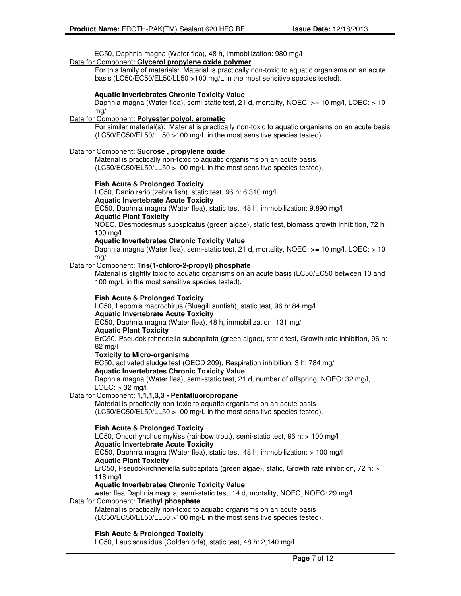EC50, Daphnia magna (Water flea), 48 h, immobilization: 980 mg/l

# Data for Component: **Glycerol propylene oxide polymer**

For this family of materials: Material is practically non-toxic to aquatic organisms on an acute basis (LC50/EC50/EL50/LL50 >100 mg/L in the most sensitive species tested).

#### **Aquatic Invertebrates Chronic Toxicity Value**

Daphnia magna (Water flea), semi-static test, 21 d, mortality, NOEC: >= 10 mg/l, LOEC: > 10 mg/l

#### Data for Component: **Polyester polyol, aromatic**

For similar material(s): Material is practically non-toxic to aquatic organisms on an acute basis (LC50/EC50/EL50/LL50 >100 mg/L in the most sensitive species tested).

#### Data for Component: **Sucrose , propylene oxide**

Material is practically non-toxic to aquatic organisms on an acute basis (LC50/EC50/EL50/LL50 >100 mg/L in the most sensitive species tested).

### **Fish Acute & Prolonged Toxicity**

LC50, Danio rerio (zebra fish), static test, 96 h: 6,310 mg/l

**Aquatic Invertebrate Acute Toxicity** 

EC50, Daphnia magna (Water flea), static test, 48 h, immobilization: 9,890 mg/l **Aquatic Plant Toxicity** 

NOEC, Desmodesmus subspicatus (green algae), static test, biomass growth inhibition, 72 h: 100 mg/l

### **Aquatic Invertebrates Chronic Toxicity Value**

Daphnia magna (Water flea), semi-static test, 21 d, mortality, NOEC: >= 10 mg/l, LOEC: > 10 mg/l

#### Data for Component: **Tris(1-chloro-2-propyl) phosphate**

Material is slightly toxic to aquatic organisms on an acute basis (LC50/EC50 between 10 and 100 mg/L in the most sensitive species tested).

### **Fish Acute & Prolonged Toxicity**

LC50, Lepomis macrochirus (Bluegill sunfish), static test, 96 h: 84 mg/l **Aquatic Invertebrate Acute Toxicity** 

EC50, Daphnia magna (Water flea), 48 h, immobilization: 131 mg/l

# **Aquatic Plant Toxicity**

ErC50, Pseudokirchneriella subcapitata (green algae), static test, Growth rate inhibition, 96 h: 82 mg/l

#### **Toxicity to Micro-organisms**

EC50, activated sludge test (OECD 209), Respiration inhibition, 3 h: 784 mg/l **Aquatic Invertebrates Chronic Toxicity Value** 

Daphnia magna (Water flea), semi-static test, 21 d, number of offspring, NOEC: 32 mg/l,  $LOEC:$  > 32 mg/l

# Data for Component: **1,1,1,3,3 - Pentafluoropropane**

Material is practically non-toxic to aquatic organisms on an acute basis (LC50/EC50/EL50/LL50 >100 mg/L in the most sensitive species tested).

# **Fish Acute & Prolonged Toxicity**

LC50, Oncorhynchus mykiss (rainbow trout), semi-static test, 96 h: > 100 mg/l **Aquatic Invertebrate Acute Toxicity** 

EC50, Daphnia magna (Water flea), static test, 48 h, immobilization: > 100 mg/l **Aquatic Plant Toxicity** 

ErC50, Pseudokirchneriella subcapitata (green algae), static, Growth rate inhibition, 72 h: > 118 mg/l

#### **Aquatic Invertebrates Chronic Toxicity Value**

water flea Daphnia magna, semi-static test, 14 d, mortality, NOEC, NOEC: 29 mg/l Data for Component: **Triethyl phosphate**

Material is practically non-toxic to aquatic organisms on an acute basis (LC50/EC50/EL50/LL50 >100 mg/L in the most sensitive species tested).

#### **Fish Acute & Prolonged Toxicity**

LC50, Leuciscus idus (Golden orfe), static test, 48 h: 2,140 mg/l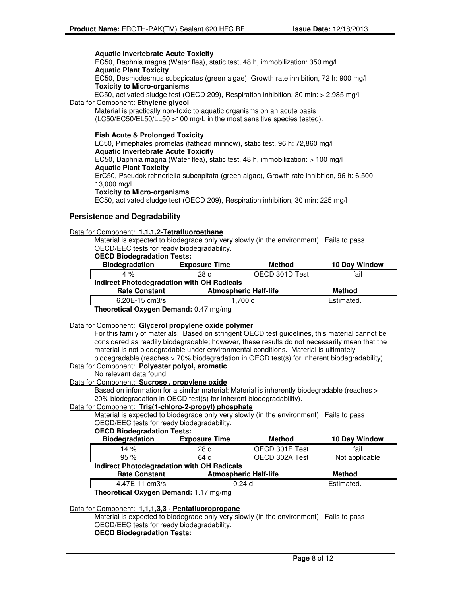#### **Aquatic Invertebrate Acute Toxicity**

EC50, Daphnia magna (Water flea), static test, 48 h, immobilization: 350 mg/l **Aquatic Plant Toxicity** 

EC50, Desmodesmus subspicatus (green algae), Growth rate inhibition, 72 h: 900 mg/l **Toxicity to Micro-organisms** 

EC50, activated sludge test (OECD 209), Respiration inhibition, 30 min: > 2,985 mg/l

# Data for Component: **Ethylene glycol**

Material is practically non-toxic to aquatic organisms on an acute basis (LC50/EC50/EL50/LL50 >100 mg/L in the most sensitive species tested).

### **Fish Acute & Prolonged Toxicity**

LC50, Pimephales promelas (fathead minnow), static test, 96 h: 72,860 mg/l **Aquatic Invertebrate Acute Toxicity**  EC50, Daphnia magna (Water flea), static test, 48 h, immobilization: > 100 mg/l **Aquatic Plant Toxicity**  ErC50, Pseudokirchneriella subcapitata (green algae), Growth rate inhibition, 96 h: 6,500 - 13,000 mg/l **Toxicity to Micro-organisms**  EC50, activated sludge test (OECD 209), Respiration inhibition, 30 min: 225 mg/l

# **Persistence and Degradability**

### Data for Component: **1,1,1,2-Tetrafluoroethane**

Material is expected to biodegrade only very slowly (in the environment). Fails to pass OECD/EEC tests for ready biodegradability.

**OECD Biodegradation Tests:**

| <b>Biodegradation</b>                             | <b>Exposure Time</b> | <b>Method</b>                | 10 Day Window |  |
|---------------------------------------------------|----------------------|------------------------------|---------------|--|
| $4\%$                                             | 28 d                 | OECD 301D Test               | fail          |  |
| <b>Indirect Photodegradation with OH Radicals</b> |                      |                              |               |  |
| <b>Rate Constant</b>                              |                      | <b>Atmospheric Half-life</b> | <b>Method</b> |  |
| $6.20E - 15$ cm $3/s$                             |                      | .700 d                       | Estimated.    |  |
| $The equation of Q$                               |                      |                              |               |  |

**Theoretical Oxygen Demand:** 0.47 mg/mg

#### Data for Component: **Glycerol propylene oxide polymer**

For this family of materials: Based on stringent OECD test guidelines, this material cannot be considered as readily biodegradable; however, these results do not necessarily mean that the material is not biodegradable under environmental conditions. Material is ultimately biodegradable (reaches > 70% biodegradation in OECD test(s) for inherent biodegradability).

# Data for Component: **Polyester polyol, aromatic**

No relevant data found.

# Data for Component: **Sucrose , propylene oxide**

Based on information for a similar material: Material is inherently biodegradable (reaches > 20% biodegradation in OECD test(s) for inherent biodegradability).

#### Data for Component: **Tris(1-chloro-2-propyl) phosphate**

Material is expected to biodegrade only very slowly (in the environment). Fails to pass OECD/EEC tests for ready biodegradability.

#### **OECD Biodegradation Tests:**

| <b>Biodegradation</b>                 | <b>Exposure Time</b>                              | <b>Method</b>                | 10 Day Window  |
|---------------------------------------|---------------------------------------------------|------------------------------|----------------|
| 14 $%$                                | 28 d                                              | OECD 301E Test               |                |
| 95%                                   | 64 d                                              | OECD 302A Test               | Not applicable |
|                                       | <b>Indirect Photodegradation with OH Radicals</b> |                              |                |
| <b>Rate Constant</b>                  |                                                   | <b>Atmospheric Half-life</b> | <b>Method</b>  |
| 4.47E-11 cm3/s                        | 0.24d                                             |                              | Estimated.     |
| Theoretical Oxygen Demand: 1.17 mg/mg |                                                   |                              |                |

#### Data for Component: **1,1,1,3,3 - Pentafluoropropane**

Material is expected to biodegrade only very slowly (in the environment). Fails to pass OECD/EEC tests for ready biodegradability.

**OECD Biodegradation Tests:**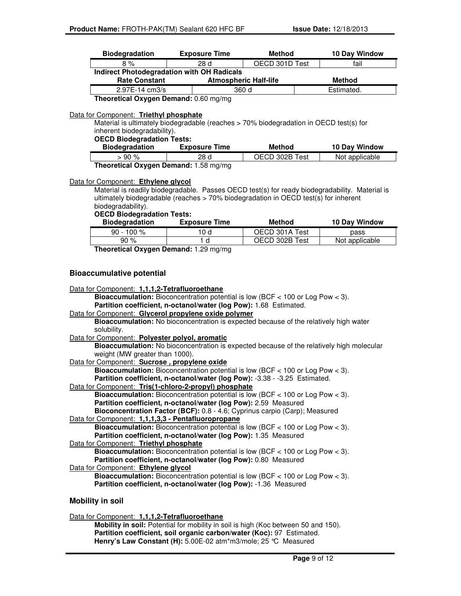| <b>Biodegradation</b>                             | <b>Exposure Time</b>         | <b>Method</b>  | 10 Day Window |  |
|---------------------------------------------------|------------------------------|----------------|---------------|--|
| 8%                                                | 28 d                         | OECD 301D Test |               |  |
| <b>Indirect Photodegradation with OH Radicals</b> |                              |                |               |  |
| <b>Rate Constant</b>                              | <b>Atmospheric Half-life</b> |                | <b>Method</b> |  |
| $2.97E - 14$ cm $3/s$                             | 360 d                        |                | Estimated.    |  |
| Theoretical Oxygen Demand: 0.60 mg/mg             |                              |                |               |  |

Data for Component: **Triethyl phosphate**

Material is ultimately biodegradable (reaches > 70% biodegradation in OECD test(s) for inherent biodegradability).

#### **OECD Biodegradation Tests:**

| <b>Biodegradation</b>                 | <b>Exposure Time</b> | <b>Method</b>  | 10 Day Window  |
|---------------------------------------|----------------------|----------------|----------------|
| >90%                                  | 28 d                 | OECD 302B Test | Not applicable |
| Theoretical Oxygen Demand: 1.58 mg/mg |                      |                |                |

Data for Component: **Ethylene glycol**

Material is readily biodegradable. Passes OECD test(s) for ready biodegradability. Material is ultimately biodegradable (reaches > 70% biodegradation in OECD test(s) for inherent biodegradability).

### **OECD Biodegradation Tests:**

| <b>Biodegradation</b> | <b>Exposure Time</b> | Method         | 10 Day Window  |
|-----------------------|----------------------|----------------|----------------|
| $90 - 100 \%$         | 10 d                 | OECD 301A Test | pass           |
| 90%                   | d                    | OECD 302B Test | Not applicable |
|                       |                      |                |                |

**Theoretical Oxygen Demand:** 1.29 mg/mg

# **Bioaccumulative potential**

| Data for Component: 1,1,1,2-Tetrafluoroethane |  |  |  |  |
|-----------------------------------------------|--|--|--|--|
|                                               |  |  |  |  |

**Bioaccumulation:** Bioconcentration potential is low (BCF < 100 or Log Pow < 3). **Partition coefficient, n-octanol/water (log Pow):** 1.68 Estimated.

#### Data for Component: **Glycerol propylene oxide polymer**

**Bioaccumulation:** No bioconcentration is expected because of the relatively high water solubility.

Data for Component: **Polyester polyol, aromatic**

**Bioaccumulation:** No bioconcentration is expected because of the relatively high molecular weight (MW greater than 1000).

Data for Component: **Sucrose , propylene oxide**

**Bioaccumulation:** Bioconcentration potential is low (BCF < 100 or Log Pow < 3). **Partition coefficient, n-octanol/water (log Pow):** -3.38 - -3.25 Estimated. Data for Component: **Tris(1-chloro-2-propyl) phosphate**

**Bioaccumulation:** Bioconcentration potential is low (BCF < 100 or Log Pow < 3). **Partition coefficient, n-octanol/water (log Pow):** 2.59 Measured

**Bioconcentration Factor (BCF):** 0.8 - 4.6; Cyprinus carpio (Carp); Measured Data for Component: **1,1,1,3,3 - Pentafluoropropane**

**Bioaccumulation:** Bioconcentration potential is low (BCF < 100 or Log Pow < 3). **Partition coefficient, n-octanol/water (log Pow):** 1.35 Measured

# Data for Component: **Triethyl phosphate**

**Bioaccumulation:** Bioconcentration potential is low (BCF < 100 or Log Pow < 3). **Partition coefficient, n-octanol/water (log Pow):** 0.80 Measured Data for Component: **Ethylene glycol**

**Bioaccumulation:** Bioconcentration potential is low (BCF < 100 or Log Pow < 3). **Partition coefficient, n-octanol/water (log Pow):** -1.36 Measured

# **Mobility in soil**

Data for Component: **1,1,1,2-Tetrafluoroethane**

**Mobility in soil:** Potential for mobility in soil is high (Koc between 50 and 150). **Partition coefficient, soil organic carbon/water (Koc):** 97 Estimated. **Henry's Law Constant (H):** 5.00E-02 atm\*m3/mole; 25 °C Measured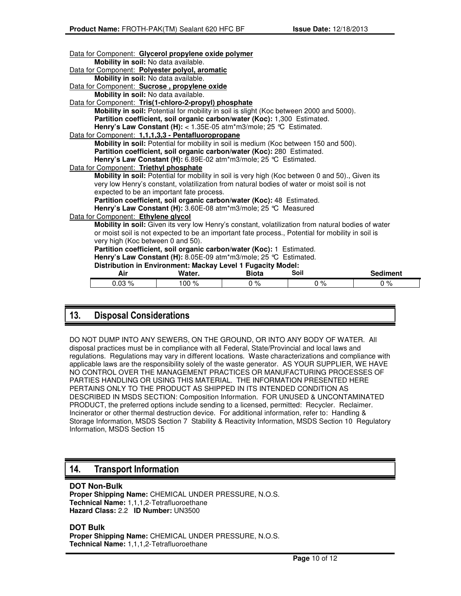| Data for Component: Glycerol propylene oxide polymer                                               |       |                 |
|----------------------------------------------------------------------------------------------------|-------|-----------------|
| Mobility in soil: No data available.                                                               |       |                 |
| Data for Component: Polyester polyol, aromatic                                                     |       |                 |
| Mobility in soil: No data available.                                                               |       |                 |
| Data for Component: Sucrose, propylene oxide                                                       |       |                 |
| Mobility in soil: No data available.                                                               |       |                 |
| Data for Component: Tris(1-chloro-2-propyl) phosphate                                              |       |                 |
| Mobility in soil: Potential for mobility in soil is slight (Koc between 2000 and 5000).            |       |                 |
| Partition coefficient, soil organic carbon/water (Koc): 1,300 Estimated.                           |       |                 |
| Henry's Law Constant (H): < $1.35E-05$ atm*m3/mole; 25 °C Estimated.                               |       |                 |
| Data for Component: 1,1,1,3,3 - Pentafluoropropane                                                 |       |                 |
| Mobility in soil: Potential for mobility in soil is medium (Koc between 150 and 500).              |       |                 |
| Partition coefficient, soil organic carbon/water (Koc): 280 Estimated.                             |       |                 |
| Henry's Law Constant (H): 6.89E-02 atm*m3/mole; 25 °C Estimated.                                   |       |                 |
| Data for Component: Triethyl phosphate                                                             |       |                 |
| Mobility in soil: Potential for mobility in soil is very high (Koc between 0 and 50)., Given its   |       |                 |
| very low Henry's constant, volatilization from natural bodies of water or moist soil is not        |       |                 |
| expected to be an important fate process.                                                          |       |                 |
| Partition coefficient, soil organic carbon/water (Koc): 48 Estimated.                              |       |                 |
| Henry's Law Constant (H): 3.60E-08 atm*m3/mole; 25 °C Measured                                     |       |                 |
| Data for Component: Ethylene glycol                                                                |       |                 |
| Mobility in soil: Given its very low Henry's constant, volatilization from natural bodies of water |       |                 |
| or moist soil is not expected to be an important fate process., Potential for mobility in soil is  |       |                 |
| very high (Koc between 0 and 50).                                                                  |       |                 |
| Partition coefficient, soil organic carbon/water (Koc): 1 Estimated.                               |       |                 |
| Henry's Law Constant (H): 8.05E-09 atm*m3/mole; 25 °C Estimated.                                   |       |                 |
| Distribution in Environment: Mackay Level 1 Fugacity Model:                                        |       |                 |
| Air<br>Water.<br><b>Biota</b>                                                                      | Soil  | <b>Sediment</b> |
| 0.03%<br>100 %<br>$0\%$                                                                            | $0\%$ | $0\%$           |
|                                                                                                    |       |                 |

# **13. Disposal Considerations**

DO NOT DUMP INTO ANY SEWERS, ON THE GROUND, OR INTO ANY BODY OF WATER. All disposal practices must be in compliance with all Federal, State/Provincial and local laws and regulations. Regulations may vary in different locations. Waste characterizations and compliance with applicable laws are the responsibility solely of the waste generator. AS YOUR SUPPLIER, WE HAVE NO CONTROL OVER THE MANAGEMENT PRACTICES OR MANUFACTURING PROCESSES OF PARTIES HANDLING OR USING THIS MATERIAL. THE INFORMATION PRESENTED HERE PERTAINS ONLY TO THE PRODUCT AS SHIPPED IN ITS INTENDED CONDITION AS DESCRIBED IN MSDS SECTION: Composition Information. FOR UNUSED & UNCONTAMINATED PRODUCT, the preferred options include sending to a licensed, permitted: Recycler. Reclaimer. Incinerator or other thermal destruction device. For additional information, refer to: Handling & Storage Information, MSDS Section 7 Stability & Reactivity Information, MSDS Section 10 Regulatory Information, MSDS Section 15

# **14. Transport Information**

# **DOT Non-Bulk**

**Proper Shipping Name:** CHEMICAL UNDER PRESSURE, N.O.S. **Technical Name:** 1,1,1,2-Tetrafluoroethane **Hazard Class:** 2.2 **ID Number:** UN3500

**DOT Bulk Proper Shipping Name:** CHEMICAL UNDER PRESSURE, N.O.S. **Technical Name:** 1,1,1,2-Tetrafluoroethane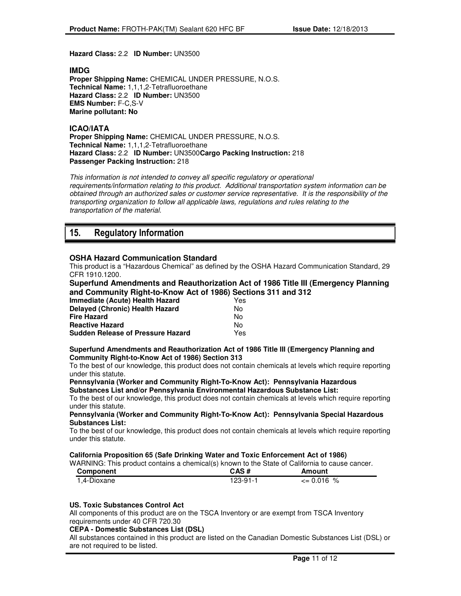**Hazard Class:** 2.2 **ID Number:** UN3500

**IMDG**

**Proper Shipping Name:** CHEMICAL UNDER PRESSURE, N.O.S. **Technical Name:** 1,1,1,2-Tetrafluoroethane **Hazard Class:** 2.2 **ID Number:** UN3500 **EMS Number:** F-C,S-V **Marine pollutant: No**

## **ICAO/IATA**

**Proper Shipping Name:** CHEMICAL UNDER PRESSURE, N.O.S. **Technical Name:** 1,1,1,2-Tetrafluoroethane **Hazard Class:** 2.2 **ID Number:** UN3500**Cargo Packing Instruction:** 218 **Passenger Packing Instruction:** 218

This information is not intended to convey all specific regulatory or operational requirements/information relating to this product. Additional transportation system information can be obtained through an authorized sales or customer service representative. It is the responsibility of the transporting organization to follow all applicable laws, regulations and rules relating to the transportation of the material.

# **15. Regulatory Information**

# **OSHA Hazard Communication Standard**

This product is a "Hazardous Chemical" as defined by the OSHA Hazard Communication Standard, 29 CFR 1910.1200.

# **Superfund Amendments and Reauthorization Act of 1986 Title III (Emergency Planning and Community Right-to-Know Act of 1986) Sections 311 and 312**

| Immediate (Acute) Health Hazard          | Yes |
|------------------------------------------|-----|
| <b>Delayed (Chronic) Health Hazard</b>   | N٥  |
| <b>Fire Hazard</b>                       | No  |
| <b>Reactive Hazard</b>                   | Nο  |
| <b>Sudden Release of Pressure Hazard</b> | Yes |

#### **Superfund Amendments and Reauthorization Act of 1986 Title III (Emergency Planning and Community Right-to-Know Act of 1986) Section 313**

To the best of our knowledge, this product does not contain chemicals at levels which require reporting under this statute.

#### **Pennsylvania (Worker and Community Right-To-Know Act): Pennsylvania Hazardous Substances List and/or Pennsylvania Environmental Hazardous Substance List:**

To the best of our knowledge, this product does not contain chemicals at levels which require reporting under this statute.

## **Pennsylvania (Worker and Community Right-To-Know Act): Pennsylvania Special Hazardous Substances List:**

To the best of our knowledge, this product does not contain chemicals at levels which require reporting under this statute.

# **California Proposition 65 (Safe Drinking Water and Toxic Enforcement Act of 1986)**

WARNING: This product contains a chemical(s) known to the State of California to cause cancer.

| <b>Component</b> | CAS#         | Amount         |
|------------------|--------------|----------------|
| 1,4-Dioxane      | $123 - 91 -$ | $\leq 0.016$ % |

# **US. Toxic Substances Control Act**

All components of this product are on the TSCA Inventory or are exempt from TSCA Inventory requirements under 40 CFR 720.30

## **CEPA - Domestic Substances List (DSL)**

All substances contained in this product are listed on the Canadian Domestic Substances List (DSL) or are not required to be listed.